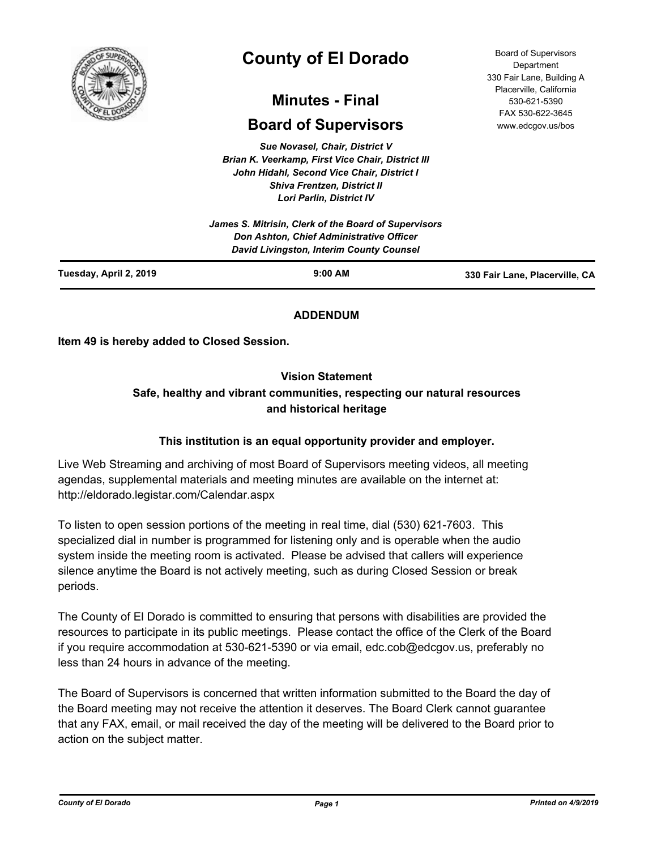

# **County of El Dorado**

## **Minutes - Final**

## **Board of Supervisors**

*Sue Novasel, Chair, District V Brian K. Veerkamp, First Vice Chair, District III John Hidahl, Second Vice Chair, District I Shiva Frentzen, District II Lori Parlin, District IV*

| Tuesday, April 2, 2019 | $9:00$ AM                                                                            | 330 Fair Lane, Placerville, CA |
|------------------------|--------------------------------------------------------------------------------------|--------------------------------|
|                        | Don Ashton, Chief Administrative Officer<br>David Livingston, Interim County Counsel |                                |
|                        | James S. Mitrisin, Clerk of the Board of Supervisors                                 |                                |

### **ADDENDUM**

**Item 49 is hereby added to Closed Session.**

#### **Vision Statement**

## **Safe, healthy and vibrant communities, respecting our natural resources and historical heritage**

#### **This institution is an equal opportunity provider and employer.**

Live Web Streaming and archiving of most Board of Supervisors meeting videos, all meeting agendas, supplemental materials and meeting minutes are available on the internet at: http://eldorado.legistar.com/Calendar.aspx

To listen to open session portions of the meeting in real time, dial (530) 621-7603. This specialized dial in number is programmed for listening only and is operable when the audio system inside the meeting room is activated. Please be advised that callers will experience silence anytime the Board is not actively meeting, such as during Closed Session or break periods.

The County of El Dorado is committed to ensuring that persons with disabilities are provided the resources to participate in its public meetings. Please contact the office of the Clerk of the Board if you require accommodation at 530-621-5390 or via email, edc.cob@edcgov.us, preferably no less than 24 hours in advance of the meeting.

The Board of Supervisors is concerned that written information submitted to the Board the day of the Board meeting may not receive the attention it deserves. The Board Clerk cannot guarantee that any FAX, email, or mail received the day of the meeting will be delivered to the Board prior to action on the subject matter.

Board of Supervisors Department 330 Fair Lane, Building A Placerville, California 530-621-5390 FAX 530-622-3645 www.edcgov.us/bos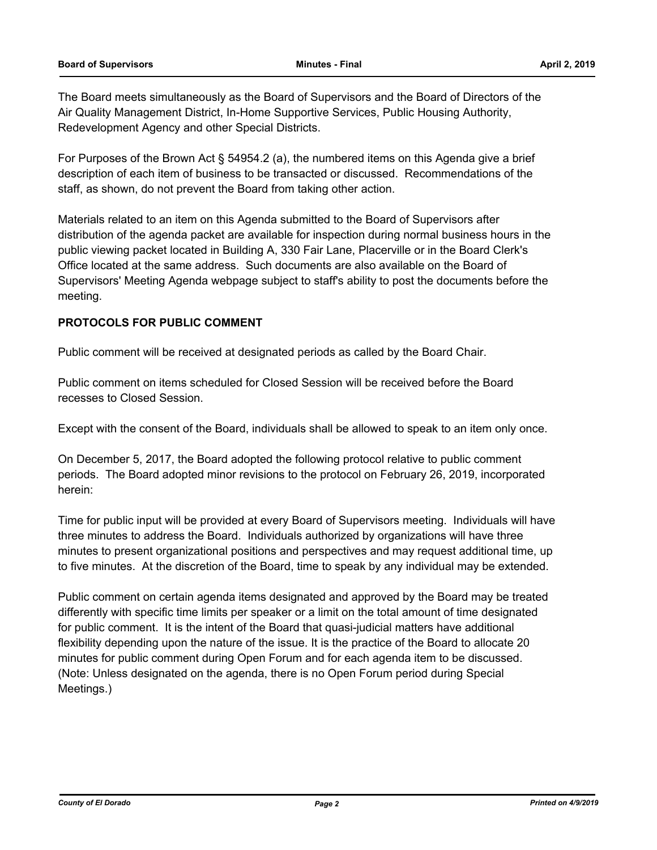The Board meets simultaneously as the Board of Supervisors and the Board of Directors of the Air Quality Management District, In-Home Supportive Services, Public Housing Authority, Redevelopment Agency and other Special Districts.

For Purposes of the Brown Act § 54954.2 (a), the numbered items on this Agenda give a brief description of each item of business to be transacted or discussed. Recommendations of the staff, as shown, do not prevent the Board from taking other action.

Materials related to an item on this Agenda submitted to the Board of Supervisors after distribution of the agenda packet are available for inspection during normal business hours in the public viewing packet located in Building A, 330 Fair Lane, Placerville or in the Board Clerk's Office located at the same address. Such documents are also available on the Board of Supervisors' Meeting Agenda webpage subject to staff's ability to post the documents before the meeting.

#### **PROTOCOLS FOR PUBLIC COMMENT**

Public comment will be received at designated periods as called by the Board Chair.

Public comment on items scheduled for Closed Session will be received before the Board recesses to Closed Session.

Except with the consent of the Board, individuals shall be allowed to speak to an item only once.

On December 5, 2017, the Board adopted the following protocol relative to public comment periods. The Board adopted minor revisions to the protocol on February 26, 2019, incorporated herein:

Time for public input will be provided at every Board of Supervisors meeting. Individuals will have three minutes to address the Board. Individuals authorized by organizations will have three minutes to present organizational positions and perspectives and may request additional time, up to five minutes. At the discretion of the Board, time to speak by any individual may be extended.

Public comment on certain agenda items designated and approved by the Board may be treated differently with specific time limits per speaker or a limit on the total amount of time designated for public comment. It is the intent of the Board that quasi-judicial matters have additional flexibility depending upon the nature of the issue. It is the practice of the Board to allocate 20 minutes for public comment during Open Forum and for each agenda item to be discussed. (Note: Unless designated on the agenda, there is no Open Forum period during Special Meetings.)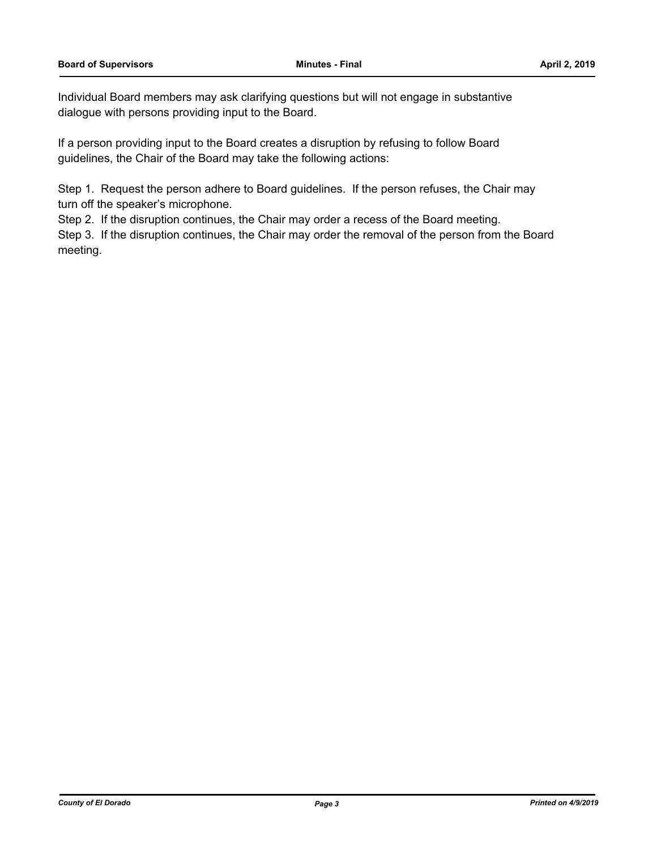Individual Board members may ask clarifying questions but will not engage in substantive dialogue with persons providing input to the Board.

If a person providing input to the Board creates a disruption by refusing to follow Board guidelines, the Chair of the Board may take the following actions:

Step 1. Request the person adhere to Board guidelines. If the person refuses, the Chair may turn off the speaker's microphone.

Step 2. If the disruption continues, the Chair may order a recess of the Board meeting.

Step 3. If the disruption continues, the Chair may order the removal of the person from the Board meeting.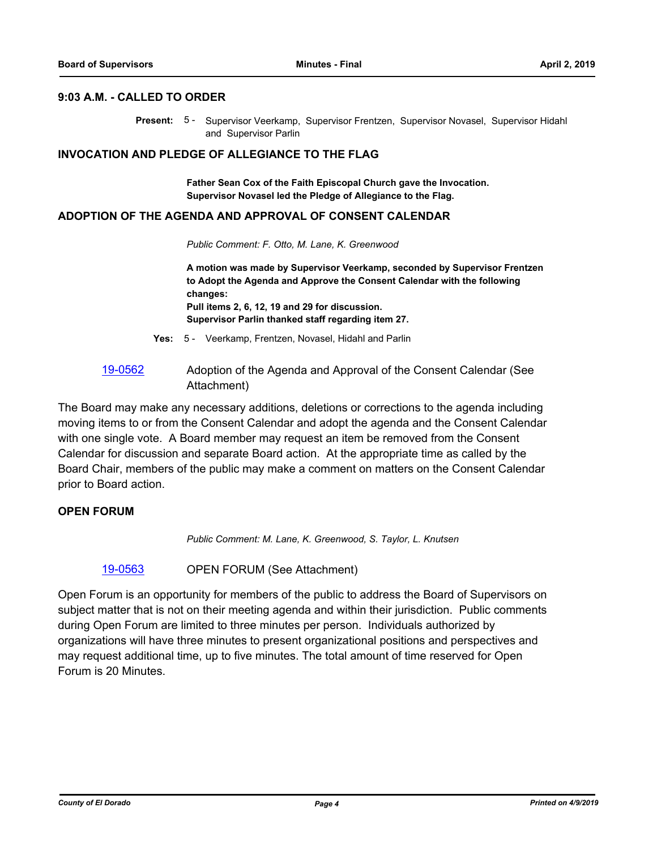#### **9:03 A.M. - CALLED TO ORDER**

Present: 5 - Supervisor Veerkamp, Supervisor Frentzen, Supervisor Novasel, Supervisor Hidahl and Supervisor Parlin

#### **INVOCATION AND PLEDGE OF ALLEGIANCE TO THE FLAG**

**Father Sean Cox of the Faith Episcopal Church gave the Invocation. Supervisor Novasel led the Pledge of Allegiance to the Flag.**

#### **ADOPTION OF THE AGENDA AND APPROVAL OF CONSENT CALENDAR**

*Public Comment: F. Otto, M. Lane, K. Greenwood*

**A motion was made by Supervisor Veerkamp, seconded by Supervisor Frentzen to Adopt the Agenda and Approve the Consent Calendar with the following changes: Pull items 2, 6, 12, 19 and 29 for discussion. Supervisor Parlin thanked staff regarding item 27.**

- **Yes:** 5 Veerkamp, Frentzen, Novasel, Hidahl and Parlin
- [19-0562](http://eldorado.legistar.com/gateway.aspx?m=l&id=/matter.aspx?key=25883) Adoption of the Agenda and Approval of the Consent Calendar (See Attachment)

The Board may make any necessary additions, deletions or corrections to the agenda including moving items to or from the Consent Calendar and adopt the agenda and the Consent Calendar with one single vote. A Board member may request an item be removed from the Consent Calendar for discussion and separate Board action. At the appropriate time as called by the Board Chair, members of the public may make a comment on matters on the Consent Calendar prior to Board action.

#### **OPEN FORUM**

*Public Comment: M. Lane, K. Greenwood, S. Taylor, L. Knutsen*

[19-0563](http://eldorado.legistar.com/gateway.aspx?m=l&id=/matter.aspx?key=25884) OPEN FORUM (See Attachment)

Open Forum is an opportunity for members of the public to address the Board of Supervisors on subject matter that is not on their meeting agenda and within their jurisdiction. Public comments during Open Forum are limited to three minutes per person. Individuals authorized by organizations will have three minutes to present organizational positions and perspectives and may request additional time, up to five minutes. The total amount of time reserved for Open Forum is 20 Minutes.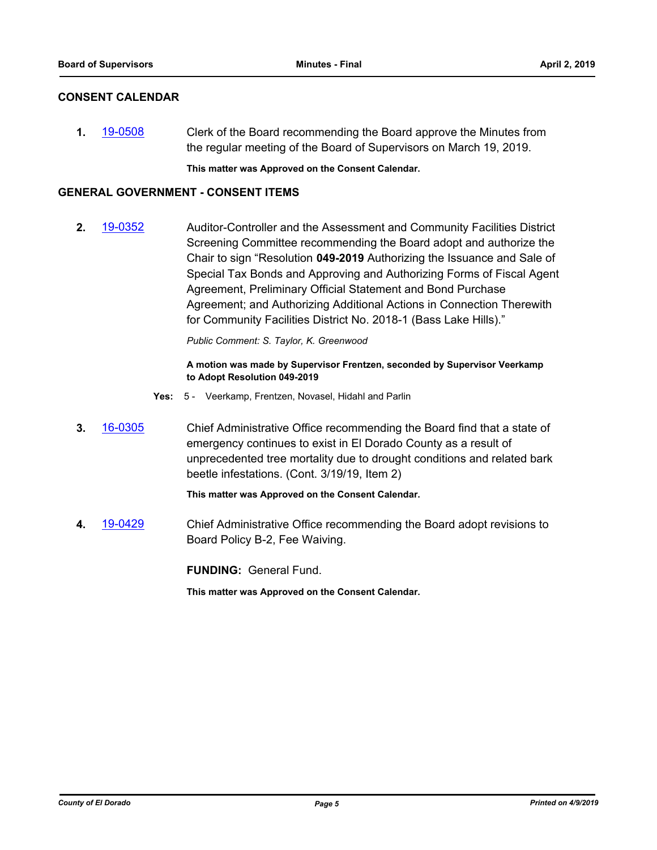#### **CONSENT CALENDAR**

**1.** [19-0508](http://eldorado.legistar.com/gateway.aspx?m=l&id=/matter.aspx?key=25829) Clerk of the Board recommending the Board approve the Minutes from the regular meeting of the Board of Supervisors on March 19, 2019.

**This matter was Approved on the Consent Calendar.**

#### **GENERAL GOVERNMENT - CONSENT ITEMS**

**2.** [19-0352](http://eldorado.legistar.com/gateway.aspx?m=l&id=/matter.aspx?key=25673) Auditor-Controller and the Assessment and Community Facilities District Screening Committee recommending the Board adopt and authorize the Chair to sign "Resolution **049-2019** Authorizing the Issuance and Sale of Special Tax Bonds and Approving and Authorizing Forms of Fiscal Agent Agreement, Preliminary Official Statement and Bond Purchase Agreement; and Authorizing Additional Actions in Connection Therewith for Community Facilities District No. 2018-1 (Bass Lake Hills)."

*Public Comment: S. Taylor, K. Greenwood*

#### **A motion was made by Supervisor Frentzen, seconded by Supervisor Veerkamp to Adopt Resolution 049-2019**

- **Yes:** 5 Veerkamp, Frentzen, Novasel, Hidahl and Parlin
- **3.** [16-0305](http://eldorado.legistar.com/gateway.aspx?m=l&id=/matter.aspx?key=20961) Chief Administrative Office recommending the Board find that a state of emergency continues to exist in El Dorado County as a result of unprecedented tree mortality due to drought conditions and related bark beetle infestations. (Cont. 3/19/19, Item 2)

**This matter was Approved on the Consent Calendar.**

**4.** [19-0429](http://eldorado.legistar.com/gateway.aspx?m=l&id=/matter.aspx?key=25750) Chief Administrative Office recommending the Board adopt revisions to Board Policy B-2, Fee Waiving.

**FUNDING:** General Fund.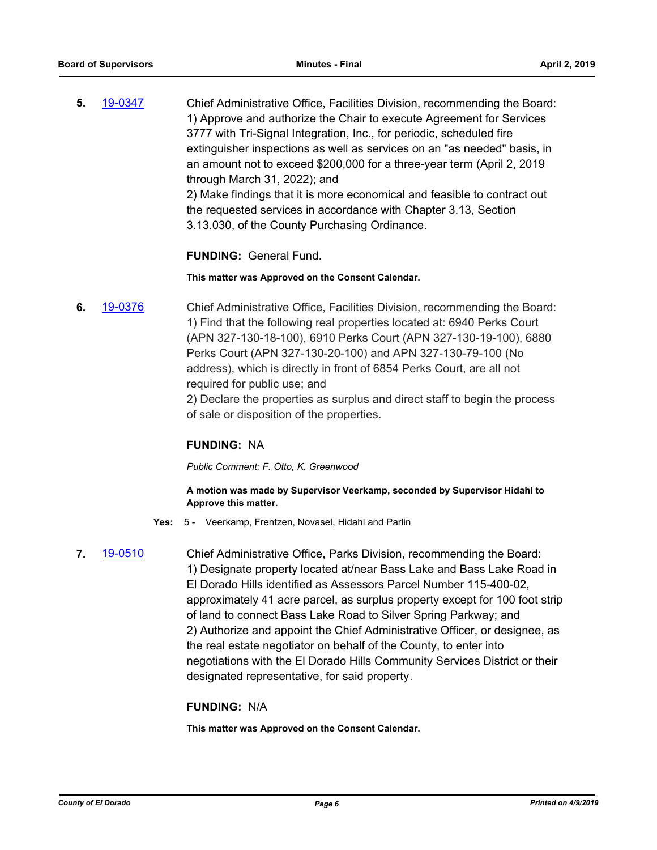**5.** [19-0347](http://eldorado.legistar.com/gateway.aspx?m=l&id=/matter.aspx?key=25668) Chief Administrative Office, Facilities Division, recommending the Board: 1) Approve and authorize the Chair to execute Agreement for Services 3777 with Tri-Signal Integration, Inc., for periodic, scheduled fire extinguisher inspections as well as services on an "as needed" basis, in an amount not to exceed \$200,000 for a three-year term (April 2, 2019 through March 31, 2022); and 2) Make findings that it is more economical and feasible to contract out the requested services in accordance with Chapter 3.13, Section 3.13.030, of the County Purchasing Ordinance.

**FUNDING:** General Fund.

#### **This matter was Approved on the Consent Calendar.**

**6.** [19-0376](http://eldorado.legistar.com/gateway.aspx?m=l&id=/matter.aspx?key=25697) Chief Administrative Office, Facilities Division, recommending the Board: 1) Find that the following real properties located at: 6940 Perks Court (APN 327-130-18-100), 6910 Perks Court (APN 327-130-19-100), 6880 Perks Court (APN 327-130-20-100) and APN 327-130-79-100 (No address), which is directly in front of 6854 Perks Court, are all not required for public use; and

2) Declare the properties as surplus and direct staff to begin the process of sale or disposition of the properties.

#### **FUNDING:** NA

*Public Comment: F. Otto, K. Greenwood*

#### **A motion was made by Supervisor Veerkamp, seconded by Supervisor Hidahl to Approve this matter.**

- **Yes:** 5 Veerkamp, Frentzen, Novasel, Hidahl and Parlin
- 

**7.** [19-0510](http://eldorado.legistar.com/gateway.aspx?m=l&id=/matter.aspx?key=25831) Chief Administrative Office, Parks Division, recommending the Board: 1) Designate property located at/near Bass Lake and Bass Lake Road in El Dorado Hills identified as Assessors Parcel Number 115-400-02, approximately 41 acre parcel, as surplus property except for 100 foot strip of land to connect Bass Lake Road to Silver Spring Parkway; and 2) Authorize and appoint the Chief Administrative Officer, or designee, as the real estate negotiator on behalf of the County, to enter into negotiations with the El Dorado Hills Community Services District or their designated representative, for said property.

#### **FUNDING:** N/A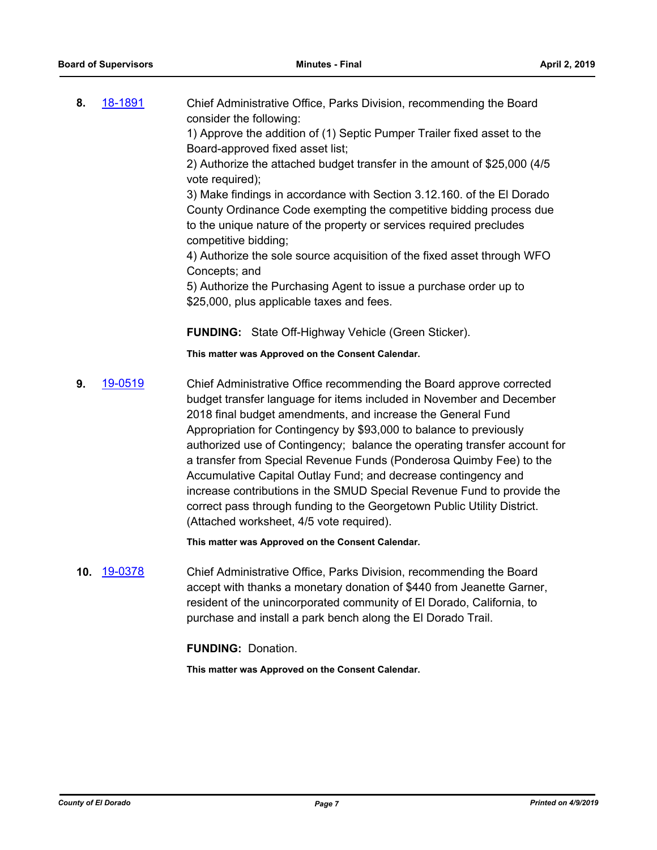**8.** [18-1891](http://eldorado.legistar.com/gateway.aspx?m=l&id=/matter.aspx?key=25241) Chief Administrative Office, Parks Division, recommending the Board consider the following:

1) Approve the addition of (1) Septic Pumper Trailer fixed asset to the Board-approved fixed asset list;

2) Authorize the attached budget transfer in the amount of \$25,000 (4/5 vote required);

3) Make findings in accordance with Section 3.12.160. of the El Dorado County Ordinance Code exempting the competitive bidding process due to the unique nature of the property or services required precludes competitive bidding;

4) Authorize the sole source acquisition of the fixed asset through WFO Concepts; and

5) Authorize the Purchasing Agent to issue a purchase order up to \$25,000, plus applicable taxes and fees.

**FUNDING:** State Off-Highway Vehicle (Green Sticker).

**This matter was Approved on the Consent Calendar.**

**9.** [19-0519](http://eldorado.legistar.com/gateway.aspx?m=l&id=/matter.aspx?key=25840) Chief Administrative Office recommending the Board approve corrected budget transfer language for items included in November and December 2018 final budget amendments, and increase the General Fund Appropriation for Contingency by \$93,000 to balance to previously authorized use of Contingency; balance the operating transfer account for a transfer from Special Revenue Funds (Ponderosa Quimby Fee) to the Accumulative Capital Outlay Fund; and decrease contingency and increase contributions in the SMUD Special Revenue Fund to provide the correct pass through funding to the Georgetown Public Utility District. (Attached worksheet, 4/5 vote required).

**This matter was Approved on the Consent Calendar.**

**10.** [19-0378](http://eldorado.legistar.com/gateway.aspx?m=l&id=/matter.aspx?key=25699) Chief Administrative Office, Parks Division, recommending the Board accept with thanks a monetary donation of \$440 from Jeanette Garner, resident of the unincorporated community of El Dorado, California, to purchase and install a park bench along the El Dorado Trail.

**FUNDING:** Donation.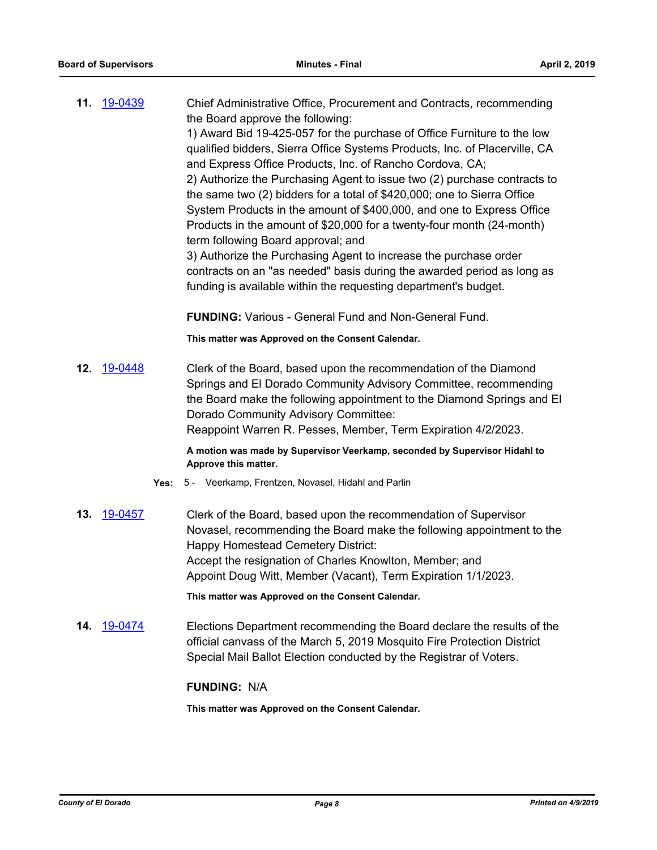**11.** [19-0439](http://eldorado.legistar.com/gateway.aspx?m=l&id=/matter.aspx?key=25760) Chief Administrative Office, Procurement and Contracts, recommending the Board approve the following: 1) Award Bid 19-425-057 for the purchase of Office Furniture to the low qualified bidders, Sierra Office Systems Products, Inc. of Placerville, CA and Express Office Products, Inc. of Rancho Cordova, CA; 2) Authorize the Purchasing Agent to issue two (2) purchase contracts to the same two (2) bidders for a total of \$420,000; one to Sierra Office System Products in the amount of \$400,000, and one to Express Office Products in the amount of \$20,000 for a twenty-four month (24-month) term following Board approval; and 3) Authorize the Purchasing Agent to increase the purchase order contracts on an "as needed" basis during the awarded period as long as funding is available within the requesting department's budget.

**FUNDING:** Various - General Fund and Non-General Fund.

**This matter was Approved on the Consent Calendar.**

**12.** [19-0448](http://eldorado.legistar.com/gateway.aspx?m=l&id=/matter.aspx?key=25769) Clerk of the Board, based upon the recommendation of the Diamond Springs and El Dorado Community Advisory Committee, recommending the Board make the following appointment to the Diamond Springs and El Dorado Community Advisory Committee: Reappoint Warren R. Pesses, Member, Term Expiration 4/2/2023.

> **A motion was made by Supervisor Veerkamp, seconded by Supervisor Hidahl to Approve this matter.**

- **Yes:** 5 Veerkamp, Frentzen, Novasel, Hidahl and Parlin
- **13.** [19-0457](http://eldorado.legistar.com/gateway.aspx?m=l&id=/matter.aspx?key=25778) Clerk of the Board, based upon the recommendation of Supervisor Novasel, recommending the Board make the following appointment to the Happy Homestead Cemetery District: Accept the resignation of Charles Knowlton, Member; and Appoint Doug Witt, Member (Vacant), Term Expiration 1/1/2023.

**This matter was Approved on the Consent Calendar.**

**14.** [19-0474](http://eldorado.legistar.com/gateway.aspx?m=l&id=/matter.aspx?key=25795) Elections Department recommending the Board declare the results of the official canvass of the March 5, 2019 Mosquito Fire Protection District Special Mail Ballot Election conducted by the Registrar of Voters.

#### **FUNDING:** N/A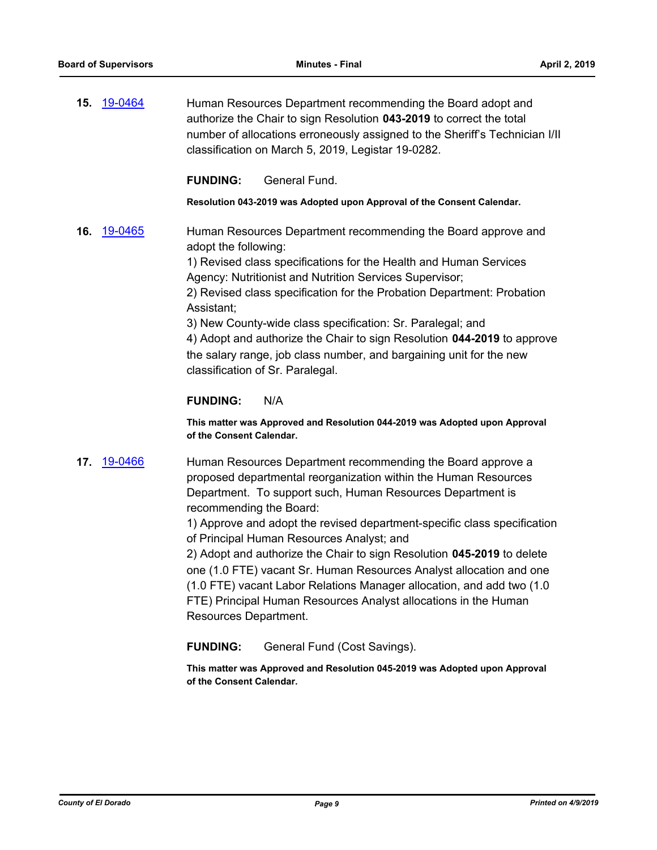**15.** [19-0464](http://eldorado.legistar.com/gateway.aspx?m=l&id=/matter.aspx?key=25785) Human Resources Department recommending the Board adopt and authorize the Chair to sign Resolution **043-2019** to correct the total number of allocations erroneously assigned to the Sheriff's Technician I/II classification on March 5, 2019, Legistar 19-0282.

#### **FUNDING:** General Fund.

**Resolution 043-2019 was Adopted upon Approval of the Consent Calendar.**

**16.** [19-0465](http://eldorado.legistar.com/gateway.aspx?m=l&id=/matter.aspx?key=25786) Human Resources Department recommending the Board approve and adopt the following:

> 1) Revised class specifications for the Health and Human Services Agency: Nutritionist and Nutrition Services Supervisor;

2) Revised class specification for the Probation Department: Probation Assistant;

3) New County-wide class specification: Sr. Paralegal; and 4) Adopt and authorize the Chair to sign Resolution **044-2019** to approve the salary range, job class number, and bargaining unit for the new classification of Sr. Paralegal.

#### **FUNDING:** N/A

**This matter was Approved and Resolution 044-2019 was Adopted upon Approval of the Consent Calendar.**

**17.** [19-0466](http://eldorado.legistar.com/gateway.aspx?m=l&id=/matter.aspx?key=25787) Human Resources Department recommending the Board approve a proposed departmental reorganization within the Human Resources Department. To support such, Human Resources Department is recommending the Board:

> 1) Approve and adopt the revised department-specific class specification of Principal Human Resources Analyst; and

2) Adopt and authorize the Chair to sign Resolution **045-2019** to delete one (1.0 FTE) vacant Sr. Human Resources Analyst allocation and one (1.0 FTE) vacant Labor Relations Manager allocation, and add two (1.0 FTE) Principal Human Resources Analyst allocations in the Human Resources Department.

**FUNDING:** General Fund (Cost Savings).

**This matter was Approved and Resolution 045-2019 was Adopted upon Approval of the Consent Calendar.**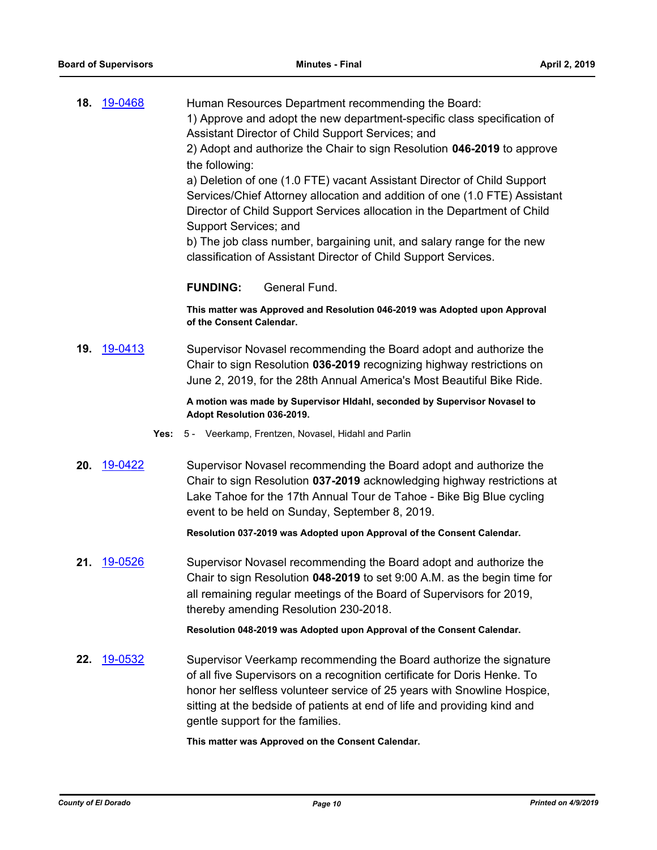| 18. | 19-0468 | Human Resources Department recommending the Board:<br>1) Approve and adopt the new department-specific class specification of<br>Assistant Director of Child Support Services; and<br>2) Adopt and authorize the Chair to sign Resolution 046-2019 to approve<br>the following:<br>a) Deletion of one (1.0 FTE) vacant Assistant Director of Child Support<br>Services/Chief Attorney allocation and addition of one (1.0 FTE) Assistant<br>Director of Child Support Services allocation in the Department of Child<br>Support Services; and<br>b) The job class number, bargaining unit, and salary range for the new<br>classification of Assistant Director of Child Support Services. |
|-----|---------|--------------------------------------------------------------------------------------------------------------------------------------------------------------------------------------------------------------------------------------------------------------------------------------------------------------------------------------------------------------------------------------------------------------------------------------------------------------------------------------------------------------------------------------------------------------------------------------------------------------------------------------------------------------------------------------------|
|     |         | General Fund.<br><b>FUNDING:</b>                                                                                                                                                                                                                                                                                                                                                                                                                                                                                                                                                                                                                                                           |
|     |         | This matter was Approved and Resolution 046-2019 was Adopted upon Approval<br>of the Consent Calendar.                                                                                                                                                                                                                                                                                                                                                                                                                                                                                                                                                                                     |
| 19. | 19-0413 | Supervisor Novasel recommending the Board adopt and authorize the<br>Chair to sign Resolution 036-2019 recognizing highway restrictions on<br>June 2, 2019, for the 28th Annual America's Most Beautiful Bike Ride.                                                                                                                                                                                                                                                                                                                                                                                                                                                                        |
|     |         | A motion was made by Supervisor Hidahl, seconded by Supervisor Novasel to<br>Adopt Resolution 036-2019.                                                                                                                                                                                                                                                                                                                                                                                                                                                                                                                                                                                    |
|     | Yes:    | 5 - Veerkamp, Frentzen, Novasel, Hidahl and Parlin                                                                                                                                                                                                                                                                                                                                                                                                                                                                                                                                                                                                                                         |
| 20. | 19-0422 | Supervisor Novasel recommending the Board adopt and authorize the<br>Chair to sign Resolution 037-2019 acknowledging highway restrictions at<br>Lake Tahoe for the 17th Annual Tour de Tahoe - Bike Big Blue cycling<br>event to be held on Sunday, September 8, 2019.                                                                                                                                                                                                                                                                                                                                                                                                                     |
|     |         | Resolution 037-2019 was Adopted upon Approval of the Consent Calendar.                                                                                                                                                                                                                                                                                                                                                                                                                                                                                                                                                                                                                     |
| 21. | 19-0526 | Supervisor Novasel recommending the Board adopt and authorize the<br>Chair to sign Resolution 048-2019 to set 9:00 A.M. as the begin time for<br>all remaining regular meetings of the Board of Supervisors for 2019,<br>thereby amending Resolution 230-2018.                                                                                                                                                                                                                                                                                                                                                                                                                             |
|     |         | Resolution 048-2019 was Adopted upon Approval of the Consent Calendar.                                                                                                                                                                                                                                                                                                                                                                                                                                                                                                                                                                                                                     |
| 22. | 19-0532 | Supervisor Veerkamp recommending the Board authorize the signature<br>of all five Supervisors on a recognition certificate for Doris Henke. To<br>honor her selfless volunteer service of 25 years with Snowline Hospice,<br>sitting at the bedside of patients at end of life and providing kind and<br>gentle support for the families.                                                                                                                                                                                                                                                                                                                                                  |
|     |         | This matter was Approved on the Consent Calendar.                                                                                                                                                                                                                                                                                                                                                                                                                                                                                                                                                                                                                                          |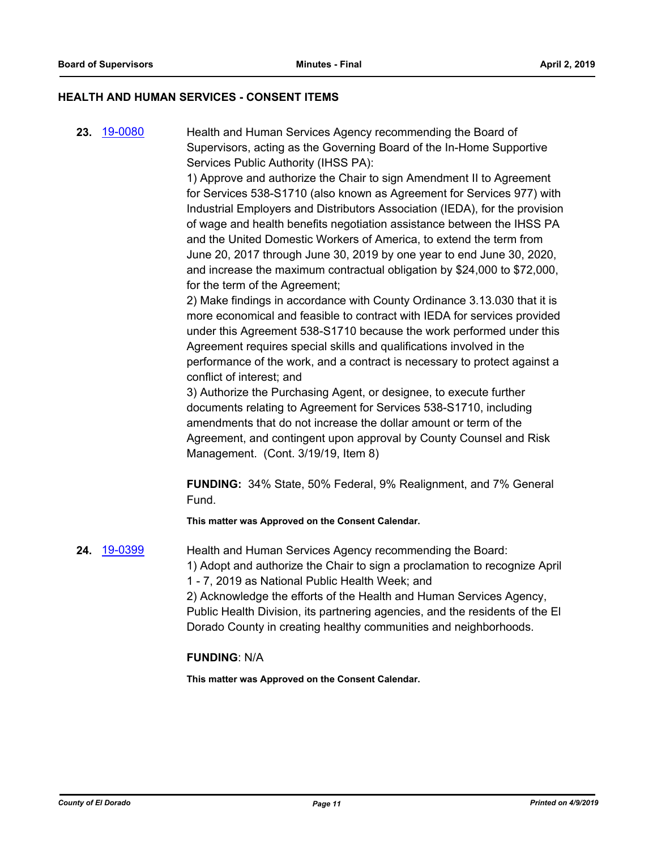#### **HEALTH AND HUMAN SERVICES - CONSENT ITEMS**

**23.** [19-0080](http://eldorado.legistar.com/gateway.aspx?m=l&id=/matter.aspx?key=25401) Health and Human Services Agency recommending the Board of Supervisors, acting as the Governing Board of the In-Home Supportive Services Public Authority (IHSS PA):

> 1) Approve and authorize the Chair to sign Amendment II to Agreement for Services 538-S1710 (also known as Agreement for Services 977) with Industrial Employers and Distributors Association (IEDA), for the provision of wage and health benefits negotiation assistance between the IHSS PA and the United Domestic Workers of America, to extend the term from June 20, 2017 through June 30, 2019 by one year to end June 30, 2020, and increase the maximum contractual obligation by \$24,000 to \$72,000, for the term of the Agreement;

> 2) Make findings in accordance with County Ordinance 3.13.030 that it is more economical and feasible to contract with IEDA for services provided under this Agreement 538-S1710 because the work performed under this Agreement requires special skills and qualifications involved in the performance of the work, and a contract is necessary to protect against a conflict of interest; and

3) Authorize the Purchasing Agent, or designee, to execute further documents relating to Agreement for Services 538-S1710, including amendments that do not increase the dollar amount or term of the Agreement, and contingent upon approval by County Counsel and Risk Management. (Cont. 3/19/19, Item 8)

**FUNDING:** 34% State, 50% Federal, 9% Realignment, and 7% General Fund.

**This matter was Approved on the Consent Calendar.**

**24.** [19-0399](http://eldorado.legistar.com/gateway.aspx?m=l&id=/matter.aspx?key=25720) Health and Human Services Agency recommending the Board: 1) Adopt and authorize the Chair to sign a proclamation to recognize April 1 - 7, 2019 as National Public Health Week; and

2) Acknowledge the efforts of the Health and Human Services Agency, Public Health Division, its partnering agencies, and the residents of the El Dorado County in creating healthy communities and neighborhoods.

#### **FUNDING**: N/A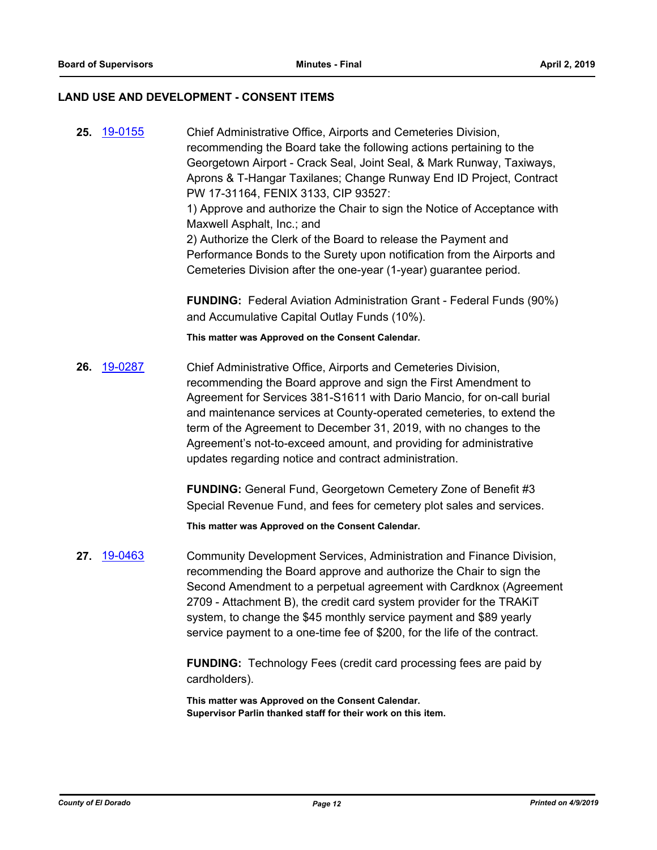#### **LAND USE AND DEVELOPMENT - CONSENT ITEMS**

**25.** [19-0155](http://eldorado.legistar.com/gateway.aspx?m=l&id=/matter.aspx?key=25475) Chief Administrative Office, Airports and Cemeteries Division, recommending the Board take the following actions pertaining to the Georgetown Airport - Crack Seal, Joint Seal, & Mark Runway, Taxiways, Aprons & T-Hangar Taxilanes; Change Runway End ID Project, Contract PW 17-31164, FENIX 3133, CIP 93527: 1) Approve and authorize the Chair to sign the Notice of Acceptance with Maxwell Asphalt, Inc.; and 2) Authorize the Clerk of the Board to release the Payment and Performance Bonds to the Surety upon notification from the Airports and Cemeteries Division after the one-year (1-year) guarantee period. **FUNDING:** Federal Aviation Administration Grant - Federal Funds (90%) and Accumulative Capital Outlay Funds (10%). **This matter was Approved on the Consent Calendar. 26.** [19-0287](http://eldorado.legistar.com/gateway.aspx?m=l&id=/matter.aspx?key=25609) Chief Administrative Office, Airports and Cemeteries Division, recommending the Board approve and sign the First Amendment to Agreement for Services 381-S1611 with Dario Mancio, for on-call burial and maintenance services at County-operated cemeteries, to extend the term of the Agreement to December 31, 2019, with no changes to the Agreement's not-to-exceed amount, and providing for administrative updates regarding notice and contract administration. **FUNDING:** General Fund, Georgetown Cemetery Zone of Benefit #3 Special Revenue Fund, and fees for cemetery plot sales and services. **This matter was Approved on the Consent Calendar. 27.** [19-0463](http://eldorado.legistar.com/gateway.aspx?m=l&id=/matter.aspx?key=25784) Community Development Services, Administration and Finance Division, recommending the Board approve and authorize the Chair to sign the Second Amendment to a perpetual agreement with Cardknox (Agreement

2709 - Attachment B), the credit card system provider for the TRAKiT system, to change the \$45 monthly service payment and \$89 yearly service payment to a one-time fee of \$200, for the life of the contract.

**FUNDING:** Technology Fees (credit card processing fees are paid by cardholders).

**This matter was Approved on the Consent Calendar. Supervisor Parlin thanked staff for their work on this item.**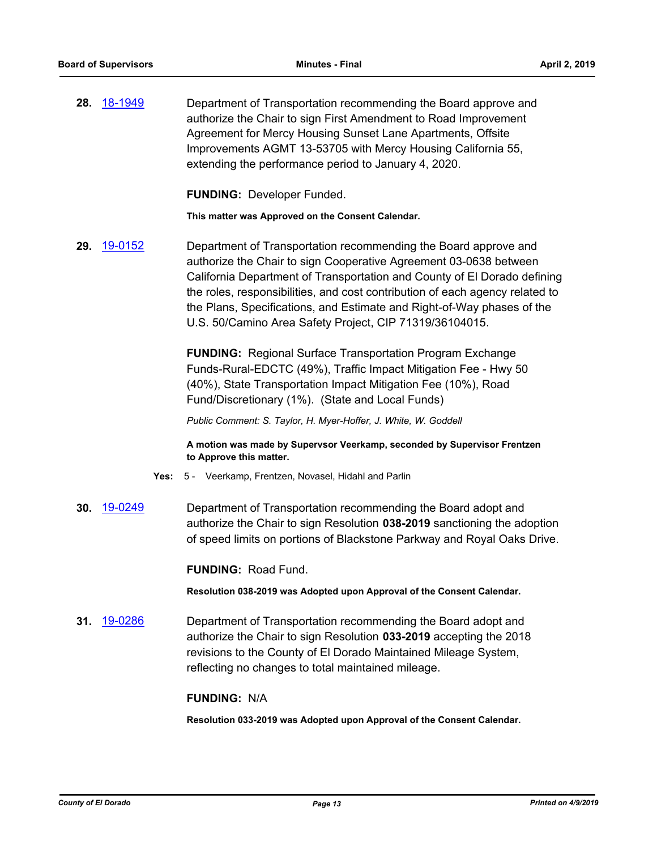**28.** [18-1949](http://eldorado.legistar.com/gateway.aspx?m=l&id=/matter.aspx?key=25299) Department of Transportation recommending the Board approve and authorize the Chair to sign First Amendment to Road Improvement Agreement for Mercy Housing Sunset Lane Apartments, Offsite Improvements AGMT 13-53705 with Mercy Housing California 55, extending the performance period to January 4, 2020.

**FUNDING:** Developer Funded.

**This matter was Approved on the Consent Calendar.**

**29.** [19-0152](http://eldorado.legistar.com/gateway.aspx?m=l&id=/matter.aspx?key=25472) Department of Transportation recommending the Board approve and authorize the Chair to sign Cooperative Agreement 03-0638 between California Department of Transportation and County of El Dorado defining the roles, responsibilities, and cost contribution of each agency related to the Plans, Specifications, and Estimate and Right-of-Way phases of the U.S. 50/Camino Area Safety Project, CIP 71319/36104015.

> **FUNDING:** Regional Surface Transportation Program Exchange Funds-Rural-EDCTC (49%), Traffic Impact Mitigation Fee - Hwy 50 (40%), State Transportation Impact Mitigation Fee (10%), Road Fund/Discretionary (1%). (State and Local Funds)

*Public Comment: S. Taylor, H. Myer-Hoffer, J. White, W. Goddell*

**A motion was made by Supervsor Veerkamp, seconded by Supervisor Frentzen to Approve this matter.**

- **Yes:** 5 Veerkamp, Frentzen, Novasel, Hidahl and Parlin
- **30.** [19-0249](http://eldorado.legistar.com/gateway.aspx?m=l&id=/matter.aspx?key=25570) Department of Transportation recommending the Board adopt and authorize the Chair to sign Resolution **038-2019** sanctioning the adoption of speed limits on portions of Blackstone Parkway and Royal Oaks Drive.

**FUNDING:** Road Fund.

**Resolution 038-2019 was Adopted upon Approval of the Consent Calendar.**

**31.** [19-0286](http://eldorado.legistar.com/gateway.aspx?m=l&id=/matter.aspx?key=25608) Department of Transportation recommending the Board adopt and authorize the Chair to sign Resolution **033-2019** accepting the 2018 revisions to the County of El Dorado Maintained Mileage System, reflecting no changes to total maintained mileage.

#### **FUNDING:** N/A

**Resolution 033-2019 was Adopted upon Approval of the Consent Calendar.**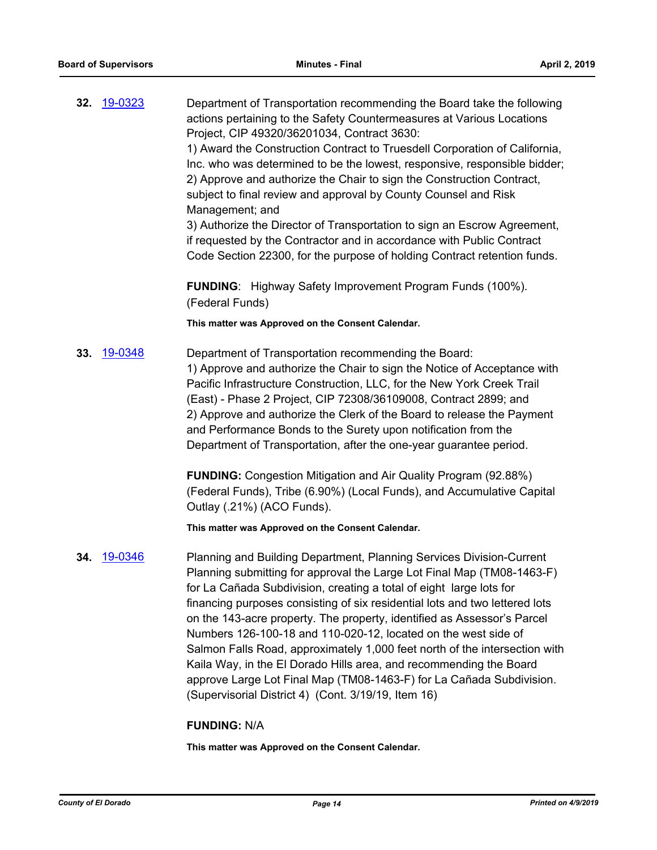| 32. | 19-0323 | Department of Transportation recommending the Board take the following<br>actions pertaining to the Safety Countermeasures at Various Locations<br>Project, CIP 49320/36201034, Contract 3630:<br>1) Award the Construction Contract to Truesdell Corporation of California,<br>Inc. who was determined to be the lowest, responsive, responsible bidder;<br>2) Approve and authorize the Chair to sign the Construction Contract,<br>subject to final review and approval by County Counsel and Risk<br>Management; and<br>3) Authorize the Director of Transportation to sign an Escrow Agreement,<br>if requested by the Contractor and in accordance with Public Contract<br>Code Section 22300, for the purpose of holding Contract retention funds. |
|-----|---------|-----------------------------------------------------------------------------------------------------------------------------------------------------------------------------------------------------------------------------------------------------------------------------------------------------------------------------------------------------------------------------------------------------------------------------------------------------------------------------------------------------------------------------------------------------------------------------------------------------------------------------------------------------------------------------------------------------------------------------------------------------------|
|     |         | <b>FUNDING:</b> Highway Safety Improvement Program Funds (100%).<br>(Federal Funds)                                                                                                                                                                                                                                                                                                                                                                                                                                                                                                                                                                                                                                                                       |
|     |         | This matter was Approved on the Consent Calendar.                                                                                                                                                                                                                                                                                                                                                                                                                                                                                                                                                                                                                                                                                                         |
| 33. | 19-0348 | Department of Transportation recommending the Board:<br>1) Approve and authorize the Chair to sign the Notice of Acceptance with<br>Pacific Infrastructure Construction, LLC, for the New York Creek Trail<br>(East) - Phase 2 Project, CIP 72308/36109008, Contract 2899; and<br>2) Approve and authorize the Clerk of the Board to release the Payment<br>and Performance Bonds to the Surety upon notification from the<br>Department of Transportation, after the one-year guarantee period.                                                                                                                                                                                                                                                          |
|     |         | <b>FUNDING:</b> Congestion Mitigation and Air Quality Program (92.88%)<br>(Federal Funds), Tribe (6.90%) (Local Funds), and Accumulative Capital<br>Outlay (.21%) (ACO Funds).                                                                                                                                                                                                                                                                                                                                                                                                                                                                                                                                                                            |
|     |         | This matter was Approved on the Consent Calendar.                                                                                                                                                                                                                                                                                                                                                                                                                                                                                                                                                                                                                                                                                                         |
| 34. | 19-0346 | Planning and Building Department, Planning Services Division-Current<br>Planning submitting for approval the Large Lot Final Map (TM08-1463-F)<br>for La Cañada Subdivision, creating a total of eight large lots for<br>financing purposes consisting of six residential lots and two lettered lots<br>on the 143-acre property. The property, identified as Assessor's Parcel<br>Numbers 126-100-18 and 110-020-12, located on the west side of<br>Salmon Falls Road, approximately 1,000 feet north of the intersection with<br>Kaila Way, in the El Dorado Hills area, and recommending the Board<br>approve Large Lot Final Map (TM08-1463-F) for La Cañada Subdivision.<br>(Supervisorial District 4) (Cont. 3/19/19, Item 16)                      |
|     |         | <b>FUNDING: N/A</b>                                                                                                                                                                                                                                                                                                                                                                                                                                                                                                                                                                                                                                                                                                                                       |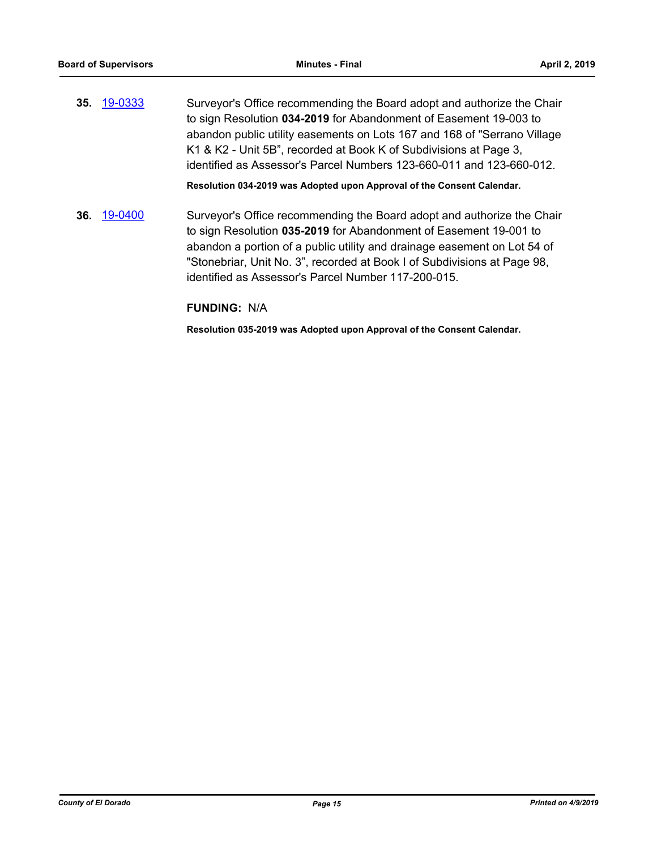**35.** [19-0333](http://eldorado.legistar.com/gateway.aspx?m=l&id=/matter.aspx?key=25654) Surveyor's Office recommending the Board adopt and authorize the Chair to sign Resolution **034-2019** for Abandonment of Easement 19-003 to abandon public utility easements on Lots 167 and 168 of "Serrano Village K1 & K2 - Unit 5B", recorded at Book K of Subdivisions at Page 3, identified as Assessor's Parcel Numbers 123-660-011 and 123-660-012.

**Resolution 034-2019 was Adopted upon Approval of the Consent Calendar.**

**36.** [19-0400](http://eldorado.legistar.com/gateway.aspx?m=l&id=/matter.aspx?key=25721) Surveyor's Office recommending the Board adopt and authorize the Chair to sign Resolution **035-2019** for Abandonment of Easement 19-001 to abandon a portion of a public utility and drainage easement on Lot 54 of "Stonebriar, Unit No. 3", recorded at Book I of Subdivisions at Page 98, identified as Assessor's Parcel Number 117-200-015.

#### **FUNDING:** N/A

**Resolution 035-2019 was Adopted upon Approval of the Consent Calendar.**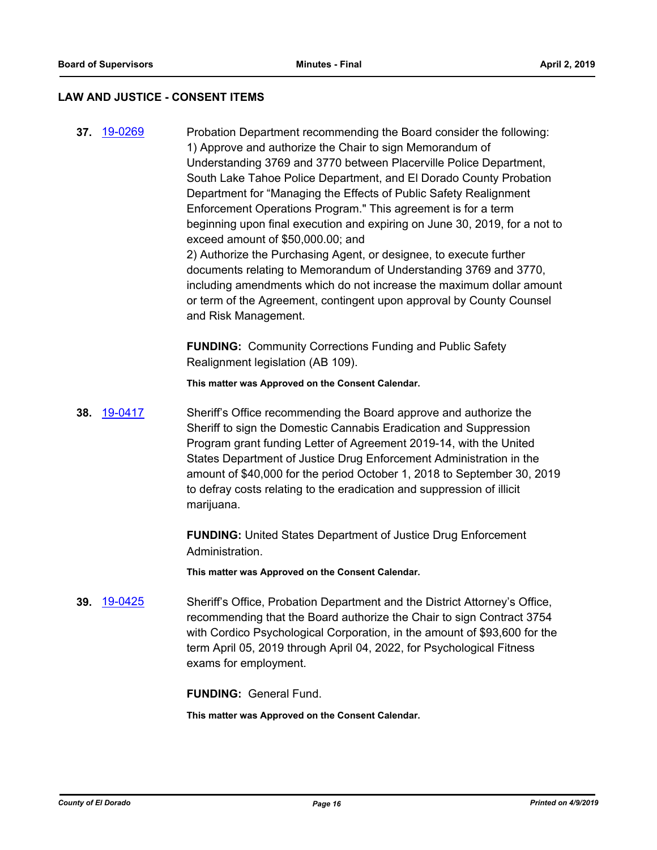#### **LAW AND JUSTICE - CONSENT ITEMS**

**37.** [19-0269](http://eldorado.legistar.com/gateway.aspx?m=l&id=/matter.aspx?key=25591) Probation Department recommending the Board consider the following: 1) Approve and authorize the Chair to sign Memorandum of Understanding 3769 and 3770 between Placerville Police Department, South Lake Tahoe Police Department, and El Dorado County Probation Department for "Managing the Effects of Public Safety Realignment Enforcement Operations Program." This agreement is for a term beginning upon final execution and expiring on June 30, 2019, for a not to exceed amount of \$50,000.00; and 2) Authorize the Purchasing Agent, or designee, to execute further documents relating to Memorandum of Understanding 3769 and 3770, including amendments which do not increase the maximum dollar amount or term of the Agreement, contingent upon approval by County Counsel and Risk Management.

> **FUNDING:** Community Corrections Funding and Public Safety Realignment legislation (AB 109).

**This matter was Approved on the Consent Calendar.**

**38.** [19-0417](http://eldorado.legistar.com/gateway.aspx?m=l&id=/matter.aspx?key=25738) Sheriff's Office recommending the Board approve and authorize the Sheriff to sign the Domestic Cannabis Eradication and Suppression Program grant funding Letter of Agreement 2019-14, with the United States Department of Justice Drug Enforcement Administration in the amount of \$40,000 for the period October 1, 2018 to September 30, 2019 to defray costs relating to the eradication and suppression of illicit marijuana.

> **FUNDING:** United States Department of Justice Drug Enforcement Administration.

**This matter was Approved on the Consent Calendar.**

**39.** [19-0425](http://eldorado.legistar.com/gateway.aspx?m=l&id=/matter.aspx?key=25746) Sheriff's Office, Probation Department and the District Attorney's Office, recommending that the Board authorize the Chair to sign Contract 3754 with Cordico Psychological Corporation, in the amount of \$93,600 for the term April 05, 2019 through April 04, 2022, for Psychological Fitness exams for employment.

**FUNDING:** General Fund.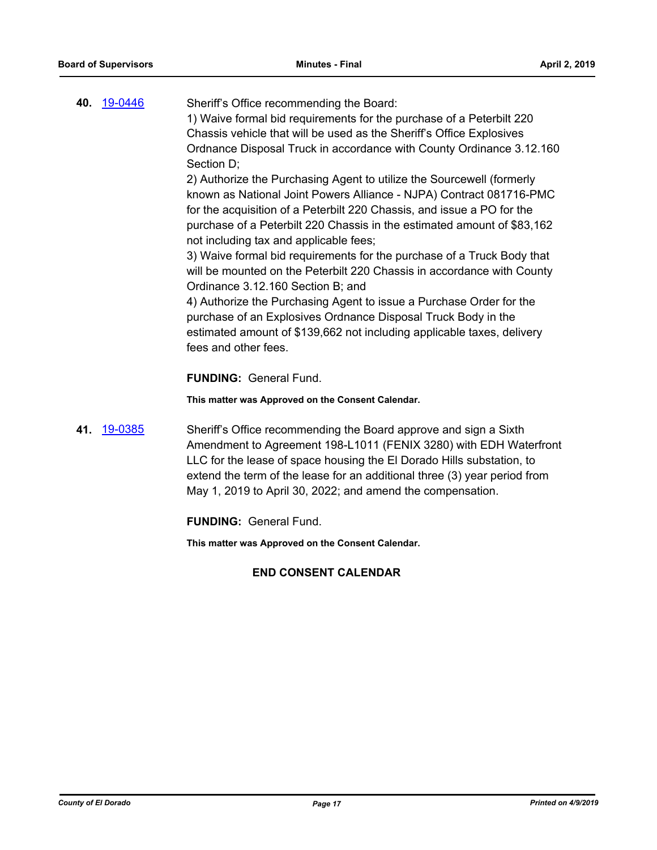| 40. 19-0446 | Sheriff's Office recommending the Board:                                |
|-------------|-------------------------------------------------------------------------|
|             | 1) Waive formal bid requirements for the purchase of a Peterbilt 220    |
|             | Chassis vehicle that will be used as the Sheriff's Office Explosives    |
|             | Ordnance Disposal Truck in accordance with County Ordinance 3.12.160    |
|             | Section D;                                                              |
|             | 2) Authorize the Purchasing Agent to utilize the Sourcewell (formerly   |
|             | known as National Joint Powers Alliance - NJPA) Contract 081716-PMC     |
|             | for the acquisition of a Peterbilt 220 Chassis, and issue a PO for the  |
|             | purchase of a Peterbilt 220 Chassis in the estimated amount of \$83,162 |
|             | not including tax and applicable fees;                                  |
|             | 3) Waive formal bid requirements for the purchase of a Truck Body that  |
|             | will be mounted on the Peterbilt 220 Chassis in accordance with County  |
|             | Ordinance 3.12.160 Section B; and                                       |
|             | 4) Authorize the Purchasing Agent to issue a Purchase Order for the     |
|             | purchase of an Explosives Ordnance Disposal Truck Body in the           |
|             | estimated amount of \$139,662 not including applicable taxes, delivery  |
|             | fees and other fees.                                                    |

**FUNDING:** General Fund.

**This matter was Approved on the Consent Calendar.**

**41.** [19-0385](http://eldorado.legistar.com/gateway.aspx?m=l&id=/matter.aspx?key=25706) Sheriff's Office recommending the Board approve and sign a Sixth Amendment to Agreement 198-L1011 (FENIX 3280) with EDH Waterfront LLC for the lease of space housing the El Dorado Hills substation, to extend the term of the lease for an additional three (3) year period from May 1, 2019 to April 30, 2022; and amend the compensation.

**FUNDING:** General Fund.

**This matter was Approved on the Consent Calendar.**

## **END CONSENT CALENDAR**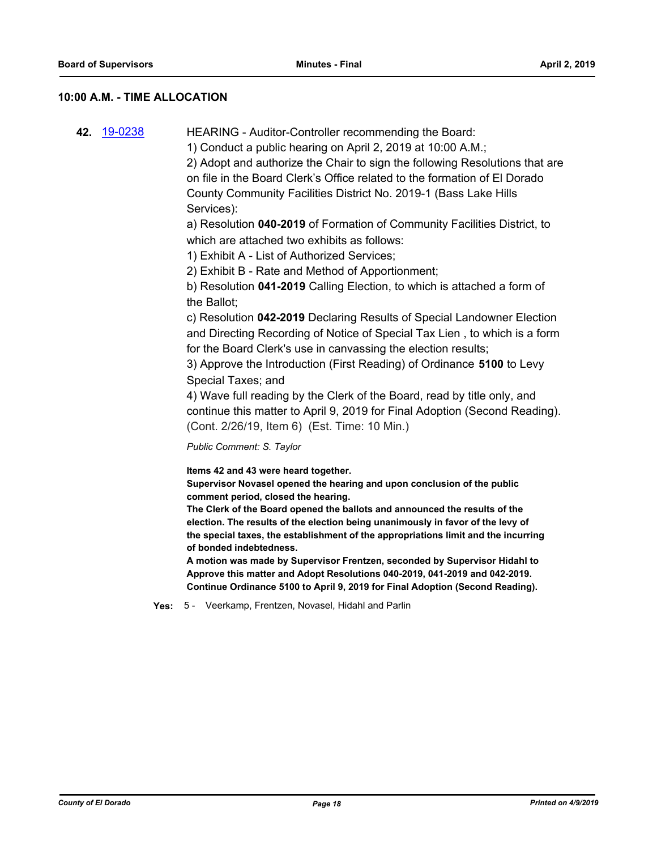#### **10:00 A.M. - TIME ALLOCATION**

| 42 19-0238<br>HEARING - Auditor-Controller recommending the Board: |
|--------------------------------------------------------------------|
|--------------------------------------------------------------------|

1) Conduct a public hearing on April 2, 2019 at 10:00 A.M.;

2) Adopt and authorize the Chair to sign the following Resolutions that are on file in the Board Clerk's Office related to the formation of El Dorado County Community Facilities District No. 2019-1 (Bass Lake Hills Services):

a) Resolution **040-2019** of Formation of Community Facilities District, to which are attached two exhibits as follows:

1) Exhibit A - List of Authorized Services;

2) Exhibit B - Rate and Method of Apportionment;

b) Resolution **041-2019** Calling Election, to which is attached a form of the Ballot;

c) Resolution **042-2019** Declaring Results of Special Landowner Election and Directing Recording of Notice of Special Tax Lien , to which is a form for the Board Clerk's use in canvassing the election results;

3) Approve the Introduction (First Reading) of Ordinance **5100** to Levy Special Taxes; and

4) Wave full reading by the Clerk of the Board, read by title only, and continue this matter to April 9, 2019 for Final Adoption (Second Reading). (Cont. 2/26/19, Item 6) (Est. Time: 10 Min.)

*Public Comment: S. Taylor*

**Items 42 and 43 were heard together.**

**Supervisor Novasel opened the hearing and upon conclusion of the public comment period, closed the hearing.**

**The Clerk of the Board opened the ballots and announced the results of the election. The results of the election being unanimously in favor of the levy of the special taxes, the establishment of the appropriations limit and the incurring of bonded indebtedness.**

**A motion was made by Supervisor Frentzen, seconded by Supervisor Hidahl to Approve this matter and Adopt Resolutions 040-2019, 041-2019 and 042-2019. Continue Ordinance 5100 to April 9, 2019 for Final Adoption (Second Reading).**

**Yes:** 5 - Veerkamp, Frentzen, Novasel, Hidahl and Parlin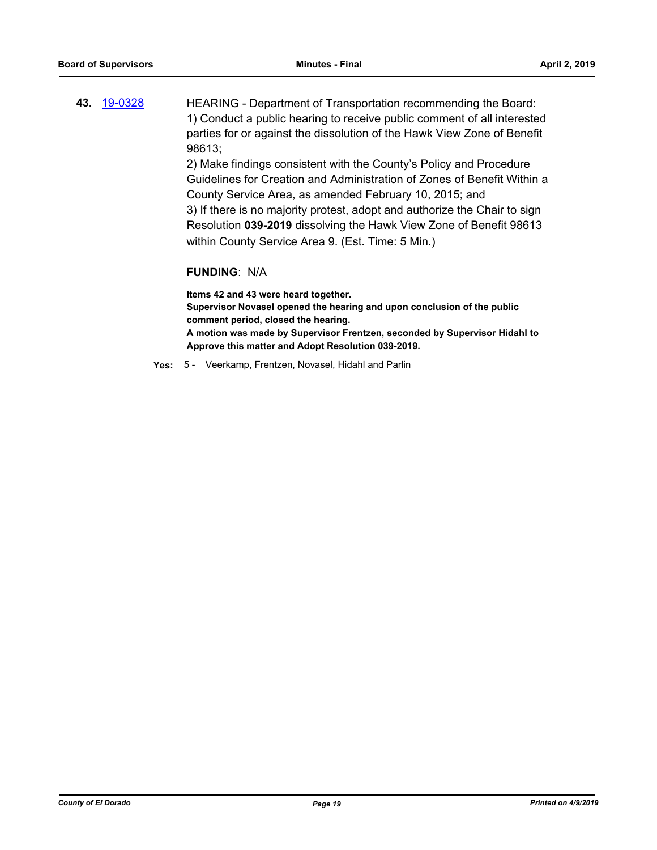**43.** [19-0328](http://eldorado.legistar.com/gateway.aspx?m=l&id=/matter.aspx?key=25649) HEARING - Department of Transportation recommending the Board: 1) Conduct a public hearing to receive public comment of all interested parties for or against the dissolution of the Hawk View Zone of Benefit 98613;

2) Make findings consistent with the County's Policy and Procedure Guidelines for Creation and Administration of Zones of Benefit Within a County Service Area, as amended February 10, 2015; and 3) If there is no majority protest, adopt and authorize the Chair to sign Resolution **039-2019** dissolving the Hawk View Zone of Benefit 98613 within County Service Area 9. (Est. Time: 5 Min.)

#### **FUNDING**: N/A

**Items 42 and 43 were heard together. Supervisor Novasel opened the hearing and upon conclusion of the public comment period, closed the hearing. A motion was made by Supervisor Frentzen, seconded by Supervisor Hidahl to Approve this matter and Adopt Resolution 039-2019.**

**Yes:** 5 - Veerkamp, Frentzen, Novasel, Hidahl and Parlin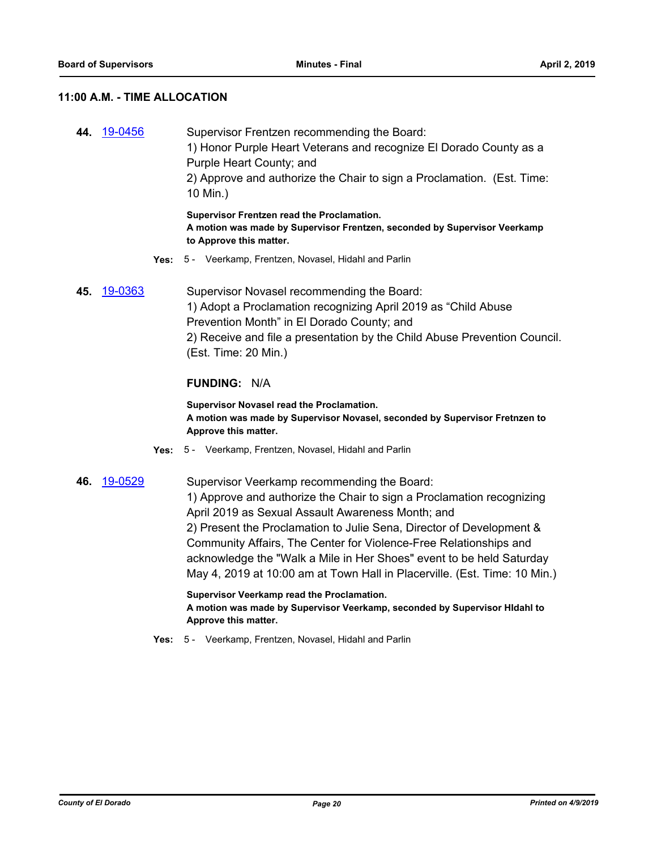#### **11:00 A.M. - TIME ALLOCATION**

**44.** [19-0456](http://eldorado.legistar.com/gateway.aspx?m=l&id=/matter.aspx?key=25777) Supervisor Frentzen recommending the Board: 1) Honor Purple Heart Veterans and recognize El Dorado County as a Purple Heart County; and 2) Approve and authorize the Chair to sign a Proclamation. (Est. Time: 10 Min.) **Supervisor Frentzen read the Proclamation.**

**A motion was made by Supervisor Frentzen, seconded by Supervisor Veerkamp to Approve this matter.**

- **Yes:** 5 Veerkamp, Frentzen, Novasel, Hidahl and Parlin
- **45.** [19-0363](http://eldorado.legistar.com/gateway.aspx?m=l&id=/matter.aspx?key=25684) Supervisor Novasel recommending the Board: 1) Adopt a Proclamation recognizing April 2019 as "Child Abuse Prevention Month" in El Dorado County; and 2) Receive and file a presentation by the Child Abuse Prevention Council. (Est. Time: 20 Min.)

#### **FUNDING:** N/A

**Supervisor Novasel read the Proclamation. A motion was made by Supervisor Novasel, seconded by Supervisor Fretnzen to Approve this matter.**

- **Yes:** 5 Veerkamp, Frentzen, Novasel, Hidahl and Parlin
- **46.** [19-0529](http://eldorado.legistar.com/gateway.aspx?m=l&id=/matter.aspx?key=25850) Supervisor Veerkamp recommending the Board: 1) Approve and authorize the Chair to sign a Proclamation recognizing April 2019 as Sexual Assault Awareness Month; and 2) Present the Proclamation to Julie Sena, Director of Development & Community Affairs, The Center for Violence-Free Relationships and acknowledge the "Walk a Mile in Her Shoes" event to be held Saturday May 4, 2019 at 10:00 am at Town Hall in Placerville. (Est. Time: 10 Min.)

**Supervisor Veerkamp read the Proclamation. A motion was made by Supervisor Veerkamp, seconded by Supervisor HIdahl to Approve this matter.**

**Yes:** 5 - Veerkamp, Frentzen, Novasel, Hidahl and Parlin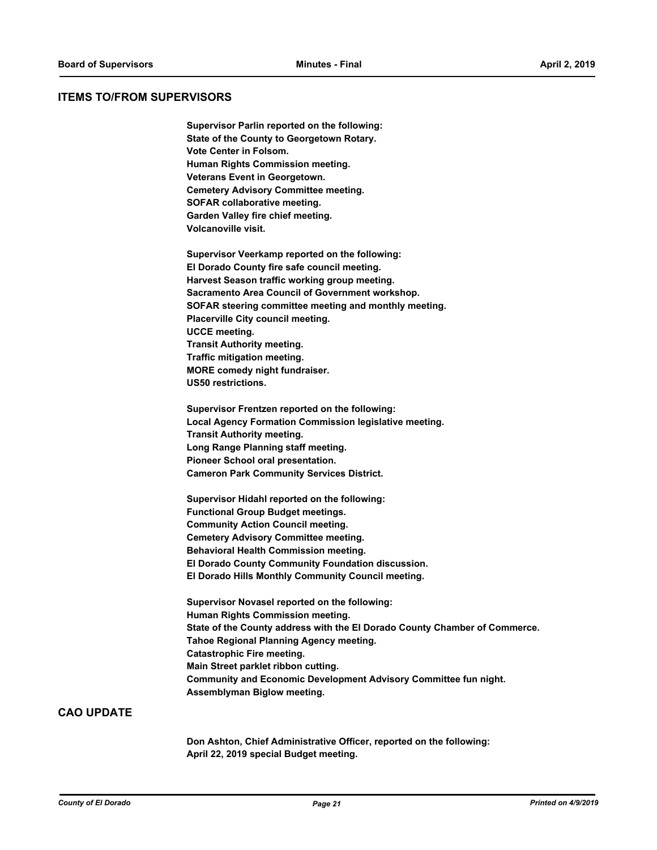#### **ITEMS TO/FROM SUPERVISORS**

**Supervisor Parlin reported on the following: State of the County to Georgetown Rotary. Vote Center in Folsom. Human Rights Commission meeting. Veterans Event in Georgetown. Cemetery Advisory Committee meeting. SOFAR collaborative meeting. Garden Valley fire chief meeting. Volcanoville visit.**

**Supervisor Veerkamp reported on the following: El Dorado County fire safe council meeting. Harvest Season traffic working group meeting. Sacramento Area Council of Government workshop. SOFAR steering committee meeting and monthly meeting. Placerville City council meeting. UCCE meeting. Transit Authority meeting. Traffic mitigation meeting. MORE comedy night fundraiser. US50 restrictions.**

**Supervisor Frentzen reported on the following: Local Agency Formation Commission legislative meeting. Transit Authority meeting. Long Range Planning staff meeting. Pioneer School oral presentation. Cameron Park Community Services District.**

**Supervisor Hidahl reported on the following: Functional Group Budget meetings. Community Action Council meeting. Cemetery Advisory Committee meeting. Behavioral Health Commission meeting. El Dorado County Community Foundation discussion. El Dorado Hills Monthly Community Council meeting.**

**Supervisor Novasel reported on the following: Human Rights Commission meeting. State of the County address with the El Dorado County Chamber of Commerce. Tahoe Regional Planning Agency meeting. Catastrophic Fire meeting. Main Street parklet ribbon cutting. Community and Economic Development Advisory Committee fun night. Assemblyman Biglow meeting.**

#### **CAO UPDATE**

**Don Ashton, Chief Administrative Officer, reported on the following: April 22, 2019 special Budget meeting.**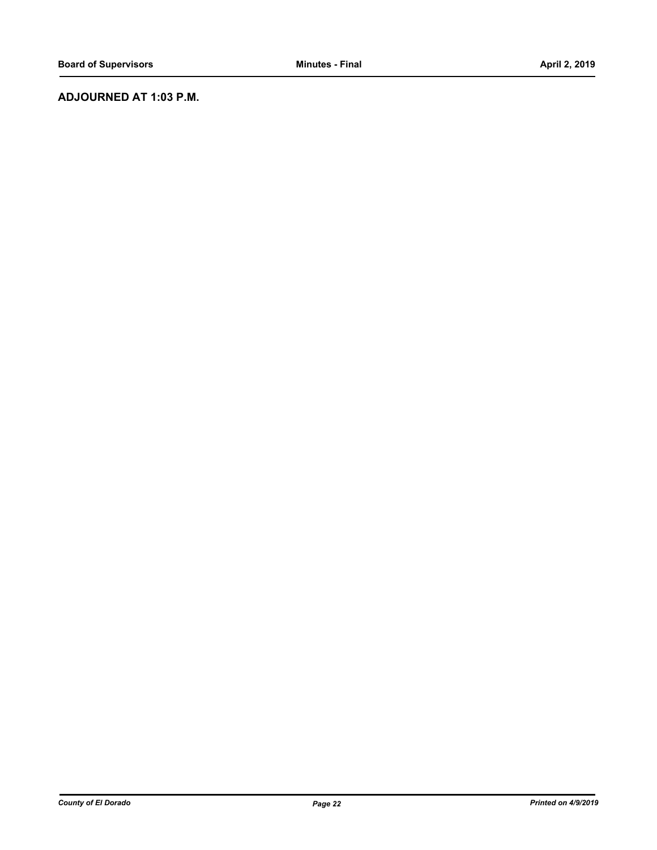## **ADJOURNED AT 1:03 P.M.**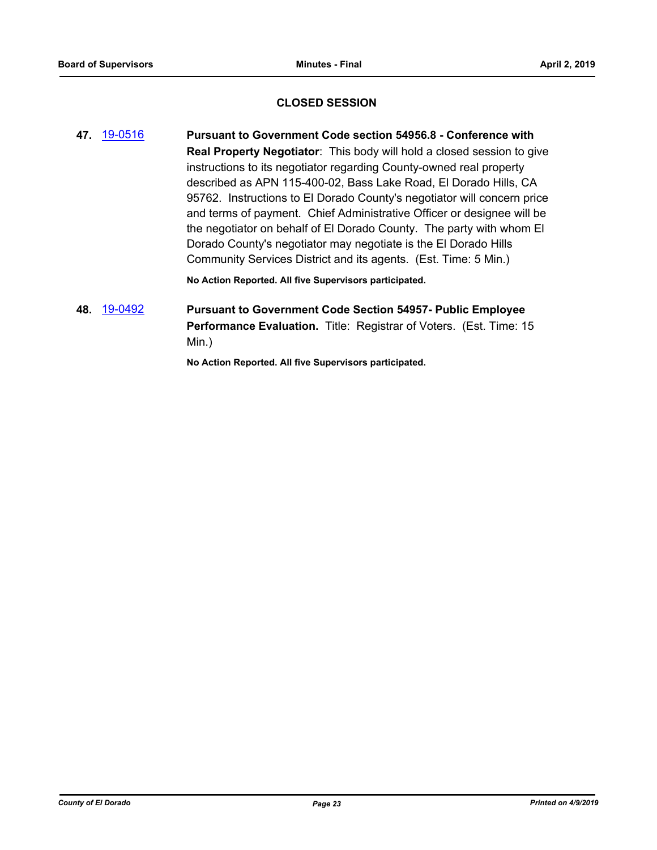#### **CLOSED SESSION**

**47.** [19-0516](http://eldorado.legistar.com/gateway.aspx?m=l&id=/matter.aspx?key=25837) **Pursuant to Government Code section 54956.8 - Conference with Real Property Negotiator**: This body will hold a closed session to give instructions to its negotiator regarding County-owned real property described as APN 115-400-02, Bass Lake Road, El Dorado Hills, CA 95762. Instructions to El Dorado County's negotiator will concern price and terms of payment. Chief Administrative Officer or designee will be the negotiator on behalf of El Dorado County. The party with whom El Dorado County's negotiator may negotiate is the El Dorado Hills Community Services District and its agents. (Est. Time: 5 Min.)

**No Action Reported. All five Supervisors participated.**

## **48.** [19-0492](http://eldorado.legistar.com/gateway.aspx?m=l&id=/matter.aspx?key=25813) **Pursuant to Government Code Section 54957- Public Employee Performance Evaluation.** Title: Registrar of Voters. (Est. Time: 15 Min.)

**No Action Reported. All five Supervisors participated.**